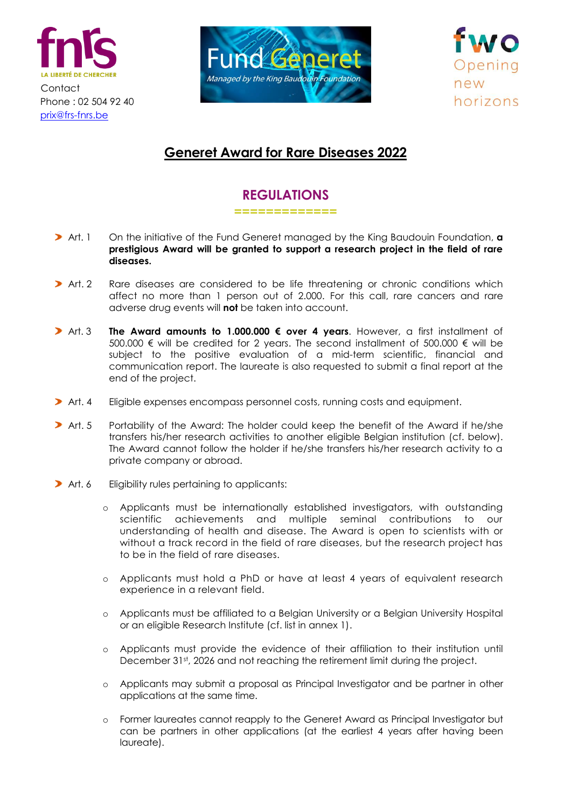





## **Generet Award for Rare Diseases 2022**

## **REGULATIONS**

**=============**

- Art. 1 On the initiative of the Fund Generet managed by the King Baudouin Foundation, **a prestigious Award will be granted to support a research project in the field of rare diseases.**
- **>** Art. 2 Rare diseases are considered to be life threatening or chronic conditions which affect no more than 1 person out of 2.000. For this call, rare cancers and rare adverse drug events will **not** be taken into account.
- Art. 3 **The Award amounts to 1.000.000 € over 4 years**. However, a first installment of 500.000 € will be credited for 2 years. The second installment of 500.000 € will be subject to the positive evaluation of a mid-term scientific, financial and communication report. The laureate is also requested to submit a final report at the end of the project.
- **>** Art. 4 Eligible expenses encompass personnel costs, running costs and equipment.
- **>** Art. 5 Portability of the Award: The holder could keep the benefit of the Award if he/she transfers his/her research activities to another eligible Belgian institution (cf. below). The Award cannot follow the holder if he/she transfers his/her research activity to a private company or abroad.
- Art. 6 Eligibility rules pertaining to applicants:
	- o Applicants must be internationally established investigators, with outstanding scientific achievements and multiple seminal contributions to our understanding of health and disease. The Award is open to scientists with or without a track record in the field of rare diseases, but the research project has to be in the field of rare diseases.
	- o Applicants must hold a PhD or have at least 4 years of equivalent research experience in a relevant field.
	- o Applicants must be affiliated to a Belgian University or a Belgian University Hospital or an eligible Research Institute (cf. list in annex 1).
	- o Applicants must provide the evidence of their affiliation to their institution until December 31<sup>st</sup>, 2026 and not reaching the retirement limit during the project.
	- o Applicants may submit a proposal as Principal Investigator and be partner in other applications at the same time.
	- o Former laureates cannot reapply to the Generet Award as Principal Investigator but can be partners in other applications (at the earliest 4 years after having been laureate).